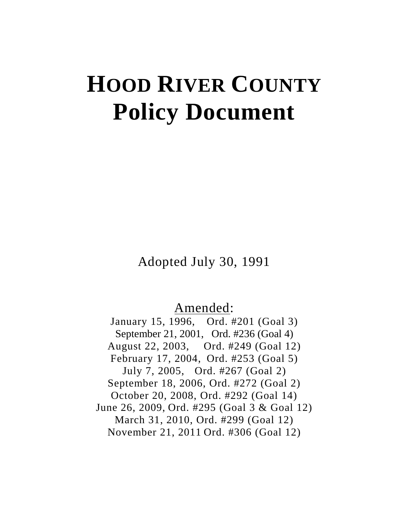# **HOOD RIVER COUNTY Policy Document**

Adopted July 30, 1991

# Amended:

January 15, 1996, Ord. #201 (Goal 3) September 21, 2001, Ord. #236 (Goal 4) August 22, 2003, Ord. #249 (Goal 12) February 17, 2004, Ord. #253 (Goal 5) July 7, 2005, Ord. #267 (Goal 2) September 18, 2006, Ord. #272 (Goal 2) October 20, 2008, Ord. #292 (Goal 14) June 26, 2009, Ord. #295 (Goal 3 & Goal 12) March 31, 2010, Ord. #299 (Goal 12) November 21, 2011 Ord. #306 (Goal 12)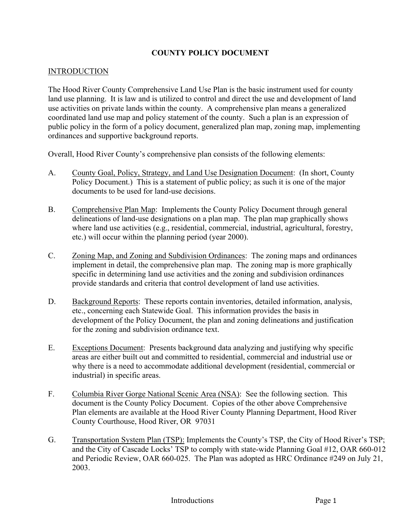## **COUNTY POLICY DOCUMENT**

### INTRODUCTION

The Hood River County Comprehensive Land Use Plan is the basic instrument used for county land use planning. It is law and is utilized to control and direct the use and development of land use activities on private lands within the county. A comprehensive plan means a generalized coordinated land use map and policy statement of the county. Such a plan is an expression of public policy in the form of a policy document, generalized plan map, zoning map, implementing ordinances and supportive background reports.

Overall, Hood River County's comprehensive plan consists of the following elements:

- A. County Goal, Policy, Strategy, and Land Use Designation Document: (In short, County Policy Document.) This is a statement of public policy; as such it is one of the major documents to be used for land-use decisions.
- B. Comprehensive Plan Map: Implements the County Policy Document through general delineations of land-use designations on a plan map. The plan map graphically shows where land use activities (e.g., residential, commercial, industrial, agricultural, forestry, etc.) will occur within the planning period (year 2000).
- C. Zoning Map, and Zoning and Subdivision Ordinances: The zoning maps and ordinances implement in detail, the comprehensive plan map. The zoning map is more graphically specific in determining land use activities and the zoning and subdivision ordinances provide standards and criteria that control development of land use activities.
- D. Background Reports: These reports contain inventories, detailed information, analysis, etc., concerning each Statewide Goal. This information provides the basis in development of the Policy Document, the plan and zoning delineations and justification for the zoning and subdivision ordinance text.
- E. Exceptions Document: Presents background data analyzing and justifying why specific areas are either built out and committed to residential, commercial and industrial use or why there is a need to accommodate additional development (residential, commercial or industrial) in specific areas.
- F. Columbia River Gorge National Scenic Area (NSA): See the following section. This document is the County Policy Document. Copies of the other above Comprehensive Plan elements are available at the Hood River County Planning Department, Hood River County Courthouse, Hood River, OR 97031
- G. Transportation System Plan (TSP): Implements the County's TSP, the City of Hood River's TSP; and the City of Cascade Locks' TSP to comply with state-wide Planning Goal #12, OAR 660-012 and Periodic Review, OAR 660-025. The Plan was adopted as HRC Ordinance #249 on July 21, 2003.